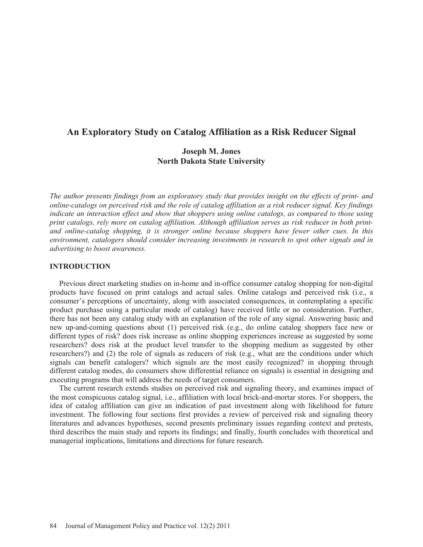# **An Exploratory Study on Catalog Affiliation as a Risk Reducer Signal**

# **Joseph M. Jones North Dakota State University**

*The author presents findings from an exploratory study that provides insight on the effects of print- and online-catalogs on perceived risk and the role of catalog affiliation as a risk reducer signal. Key findings indicate an interaction effect and show that shoppers using online catalogs, as compared to those using print catalogs, rely more on catalog affiliation. Although affiliation serves as risk reducer in both printand online-catalog shopping, it is stronger online because shoppers have fewer other cues. In this environment, catalogers should consider increasing investments in research to spot other signals and in advertising to boost awareness.* 

## **INTRODUCTION**

 Previous direct marketing studies on in-home and in-office consumer catalog shopping for non-digital products have focused on print catalogs and actual sales. Online catalogs and perceived risk (i.e., a consumer's perceptions of uncertainty, along with associated consequences, in contemplating a specific product purchase using a particular mode of catalog) have received little or no consideration. Further, there has not been any catalog study with an explanation of the role of any signal. Answering basic and new up-and-coming questions about (1) perceived risk (e.g., do online catalog shoppers face new or different types of risk? does risk increase as online shopping experiences increase as suggested by some researchers? does risk at the product level transfer to the shopping medium as suggested by other researchers?) and (2) the role of signals as reducers of risk (e.g., what are the conditions under which signals can benefit catalogers? which signals are the most easily recognized? in shopping through different catalog modes, do consumers show differential reliance on signals) is essential in designing and executing programs that will address the needs of target consumers.

 The current research extends studies on perceived risk and signaling theory, and examines impact of the most conspicuous catalog signal, i.e., affiliation with local brick-and-mortar stores. For shoppers, the idea of catalog affiliation can give an indication of past investment along with likelihood for future investment. The following four sections first provides a review of perceived risk and signaling theory literatures and advances hypotheses, second presents preliminary issues regarding context and pretests, third describes the main study and reports its findings; and finally, fourth concludes with theoretical and managerial implications, limitations and directions for future research.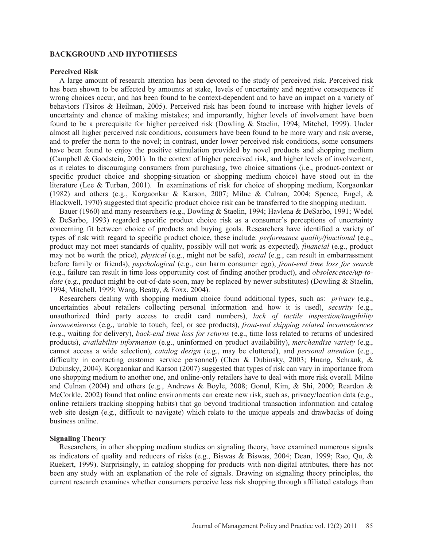## **BACKGROUND AND HYPOTHESES**

#### **Perceived Risk**

 A large amount of research attention has been devoted to the study of perceived risk. Perceived risk has been shown to be affected by amounts at stake, levels of uncertainty and negative consequences if wrong choices occur, and has been found to be context-dependent and to have an impact on a variety of behaviors (Tsiros & Heilman, 2005). Perceived risk has been found to increase with higher levels of uncertainty and chance of making mistakes; and importantly, higher levels of involvement have been found to be a prerequisite for higher perceived risk (Dowling & Staelin, 1994; Mitchel, 1999). Under almost all higher perceived risk conditions, consumers have been found to be more wary and risk averse, and to prefer the norm to the novel; in contrast, under lower perceived risk conditions, some consumers have been found to enjoy the positive stimulation provided by novel products and shopping medium (Campbell & Goodstein, 2001). In the context of higher perceived risk, and higher levels of involvement, as it relates to discouraging consumers from purchasing, two choice situations (i.e., product-context or specific product choice and shopping-situation or shopping medium choice) have stood out in the literature (Lee & Turban, 2001). In examinations of risk for choice of shopping medium, Korgaonkar (1982) and others (e.g., Korgaonkar & Karson, 2007; Milne & Culnan, 2004; Spence, Engel, & Blackwell, 1970) suggested that specific product choice risk can be transferred to the shopping medium.

 Bauer (1960) and many researchers (e.g., Dowling & Staelin, 1994; Havlena & DeSarbo, 1991; Wedel & DeSarbo, 1993) regarded specific product choice risk as a consumer's perceptions of uncertainty concerning fit between choice of products and buying goals. Researchers have identified a variety of types of risk with regard to specific product choice, these include: *performance quality/functional* (e.g., product may not meet standards of quality, possibly will not work as expected)*, financial* (e.g., product may not be worth the price), *physical* (e.g., might not be safe), *social* (e.g., can result in embarrassment before family or friends), *psychological* (e.g., can harm consumer ego), *front-end time loss for search*  (e.g., failure can result in time loss opportunity cost of finding another product), and *obsolescence/up-todate* (e.g., product might be out-of-date soon, may be replaced by newer substitutes) (Dowling & Staelin, 1994; Mitchell, 1999; Wang, Beatty, & Foxx, 2004).

 Researchers dealing with shopping medium choice found additional types, such as: *privacy* (e.g., uncertainties about retailers collecting personal information and how it is used), *security* (e.g., unauthorized third party access to credit card numbers), *lack of tactile inspection/tangibility inconveniences* (e.g., unable to touch, feel, or see products), *front-end shipping related inconveniences* (e.g., waiting for delivery), *back-end time loss for returns* (e.g., time loss related to returns of undesired products), *availability information* (e.g., uninformed on product availability), *merchandise variety* (e.g., cannot access a wide selection), *catalog design* (e.g., may be cluttered), and *personal attention* (e.g., difficulty in contacting customer service personnel) (Chen & Dubinsky, 2003; Huang, Schrank, & Dubinsky, 2004). Korgaonkar and Karson (2007) suggested that types of risk can vary in importance from one shopping medium to another one, and online-only retailers have to deal with more risk overall. Milne and Culnan (2004) and others (e.g., Andrews & Boyle, 2008; Gonul, Kim, & Shi, 2000; Reardon & McCorkle, 2002) found that online environments can create new risk, such as, privacy/location data (e.g., online retailers tracking shopping habits) that go beyond traditional transaction information and catalog web site design (e.g., difficult to navigate) which relate to the unique appeals and drawbacks of doing business online.

#### **Signaling Theory**

 Researchers, in other shopping medium studies on signaling theory, have examined numerous signals as indicators of quality and reducers of risks (e.g., Biswas & Biswas, 2004; Dean, 1999; Rao, Qu, & Ruekert, 1999). Surprisingly, in catalog shopping for products with non-digital attributes, there has not been any study with an explanation of the role of signals. Drawing on signaling theory principles, the current research examines whether consumers perceive less risk shopping through affiliated catalogs than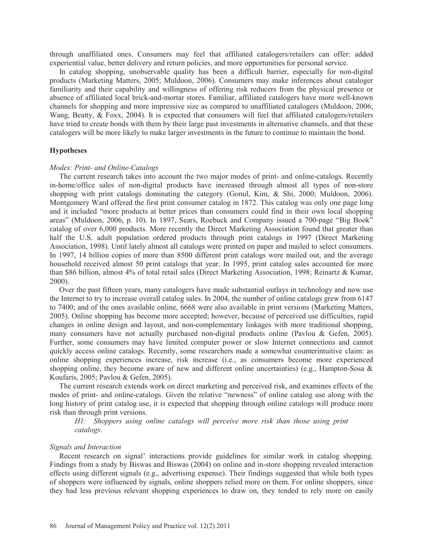through unaffiliated ones. Consumers may feel that affiliated catalogers/retailers can offer: added experiential value, better delivery and return policies, and more opportunities for personal service.

 In catalog shopping, unobservable quality has been a difficult barrier, especially for non-digital products (Marketing Matters, 2005; Muldoon, 2006). Consumers may make inferences about cataloger familiarity and their capability and willingness of offering risk reducers from the physical presence or absence of affiliated local brick-and-mortar stores. Familiar, affiliated catalogers have more well-known channels for shopping and more impressive size as compared to unaffiliated catalogers (Muldoon, 2006; Wang, Beatty, & Foxx, 2004). It is expected that consumers will feel that affiliated catalogers/retailers have tried to create bonds with them by their large past investments in alternative channels, and that these catalogers will be more likely to make larger investments in the future to continue to maintain the bond.

#### **Hypotheses**

#### *Modes: Print- and Online-Catalogs*

 The current research takes into account the two major modes of print- and online-catalogs. Recently in-home/office sales of non-digital products have increased through almost all types of non-store shopping with print catalogs dominating the category (Gonul, Kim, & Shi, 2000; Muldoon, 2006). Montgomery Ward offered the first print consumer catalog in 1872. This catalog was only one page long and it included "more products at better prices than consumers could find in their own local shopping areas" (Muldoon, 2006, p. 10). In 1897, Sears, Roebuck and Company issued a 700-page "Big Book" catalog of over 6,000 products. More recently the Direct Marketing Association found that greater than half the U.S. adult population ordered products through print catalogs in 1997 (Direct Marketing Association, 1998). Until lately almost all catalogs were printed on paper and mailed to select consumers. In 1997, 14 billion copies of more than 8500 different print catalogs were mailed out, and the average household received almost 50 print catalogs that year. In 1995, print catalog sales accounted for more than \$86 billion, almost 4% of total retail sales (Direct Marketing Association, 1998; Reinartz & Kumar, 2000).

 Over the past fifteen years, many catalogers have made substantial outlays in technology and now use the Internet to try to increase overall catalog sales. In 2004, the number of online catalogs grew from 6147 to 7400; and of the ones available online, 6668 were also available in print versions (Marketing Matters, 2005). Online shopping has become more accepted; however, because of perceived use difficulties, rapid changes in online design and layout, and non-complementary linkages with more traditional shopping, many consumers have not actually purchased non-digital products online (Pavlou & Gefen, 2005). Further, some consumers may have limited computer power or slow Internet connections and cannot quickly access online catalogs. Recently, some researchers made a somewhat counterintuitive claim: as online shopping experiences increase, risk increase (i.e., as consumers become more experienced shopping online, they become aware of new and different online uncertainties) (e.g., Hampton-Sosa & Koufaris, 2005; Pavlou & Gefen, 2005).

 The current research extends work on direct marketing and perceived risk, and examines effects of the modes of print- and online-catalogs. Given the relative "newness" of online catalog use along with the long history of print catalog use, it is expected that shopping through online catalogs will produce more risk than through print versions.

*H1: Shoppers using online catalogs will perceive more risk than those using print catalogs*.

#### *Signals and Interaction*

 Recent research on signal' interactions provide guidelines for similar work in catalog shopping. Findings from a study by Biswas and Biswas (2004) on online and in-store shopping revealed interaction effects using different signals (e.g., advertising expense). Their findings suggested that while both types of shoppers were influenced by signals, online shoppers relied more on them. For online shoppers, since they had less previous relevant shopping experiences to draw on, they tended to rely more on easily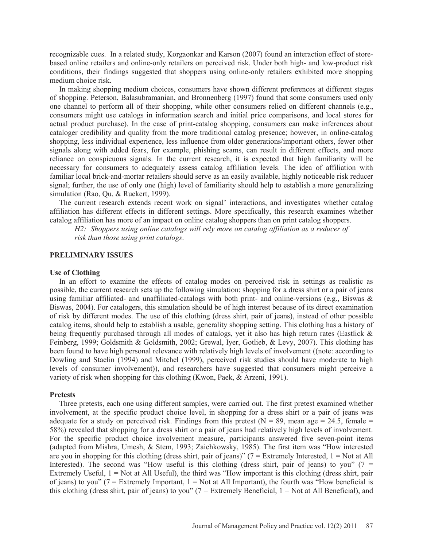recognizable cues. In a related study, Korgaonkar and Karson (2007) found an interaction effect of storebased online retailers and online-only retailers on perceived risk. Under both high- and low-product risk conditions, their findings suggested that shoppers using online-only retailers exhibited more shopping medium choice risk.

 In making shopping medium choices, consumers have shown different preferences at different stages of shopping. Peterson, Balasubramanian, and Bronnenberg (1997) found that some consumers used only one channel to perform all of their shopping, while other consumers relied on different channels (e.g., consumers might use catalogs in information search and initial price comparisons, and local stores for actual product purchase). In the case of print-catalog shopping, consumers can make inferences about cataloger credibility and quality from the more traditional catalog presence; however, in online-catalog shopping, less individual experience, less influence from older generations/important others, fewer other signals along with added fears, for example, phishing scams, can result in different effects, and more reliance on conspicuous signals. In the current research, it is expected that high familiarity will be necessary for consumers to adequately assess catalog affiliation levels. The idea of affiliation with familiar local brick-and-mortar retailers should serve as an easily available, highly noticeable risk reducer signal; further, the use of only one (high) level of familiarity should help to establish a more generalizing simulation (Rao, Qu, & Ruekert, 1999).

 The current research extends recent work on signal' interactions, and investigates whether catalog affiliation has different effects in different settings. More specifically, this research examines whether catalog affiliation has more of an impact on online catalog shoppers than on print catalog shoppers.

*H2: Shoppers using online catalogs will rely more on catalog affiliation as a reducer of risk than those using print catalogs*.

### **PRELIMINARY ISSUES**

## **Use of Clothing**

 In an effort to examine the effects of catalog modes on perceived risk in settings as realistic as possible, the current research sets up the following simulation: shopping for a dress shirt or a pair of jeans using familiar affiliated- and unaffiliated-catalogs with both print- and online-versions (e.g., Biswas  $\&$ Biswas, 2004). For catalogers, this simulation should be of high interest because of its direct examination of risk by different modes. The use of this clothing (dress shirt, pair of jeans), instead of other possible catalog items, should help to establish a usable, generality shopping setting. This clothing has a history of being frequently purchased through all modes of catalogs, yet it also has high return rates (Eastlick & Feinberg, 1999; Goldsmith & Goldsmith, 2002; Grewal, Iyer, Gotlieb, & Levy, 2007). This clothing has been found to have high personal relevance with relatively high levels of involvement ((note: according to Dowling and Staelin (1994) and Mitchel (1999), perceived risk studies should have moderate to high levels of consumer involvement)), and researchers have suggested that consumers might perceive a variety of risk when shopping for this clothing (Kwon, Paek, & Arzeni, 1991).

## **Pretests**

 Three pretests, each one using different samples, were carried out. The first pretest examined whether involvement, at the specific product choice level, in shopping for a dress shirt or a pair of jeans was adequate for a study on perceived risk. Findings from this pretest ( $N = 89$ , mean age = 24.5, female = 58%) revealed that shopping for a dress shirt or a pair of jeans had relatively high levels of involvement. For the specific product choice involvement measure, participants answered five seven-point items (adapted from Mishra, Umesh, & Stem, 1993; Zaichkowsky, 1985). The first item was "How interested are you in shopping for this clothing (dress shirt, pair of jeans)" (7 = Extremely Interested, 1 = Not at All Interested). The second was "How useful is this clothing (dress shirt, pair of jeans) to you" (7 = Extremely Useful,  $1 = Not$  at All Useful), the third was "How important is this clothing (dress shirt, pair of jeans) to you" ( $7 =$  Extremely Important,  $1 =$  Not at All Important), the fourth was "How beneficial is this clothing (dress shirt, pair of jeans) to you" ( $7 =$  Extremely Beneficial,  $1 =$  Not at All Beneficial), and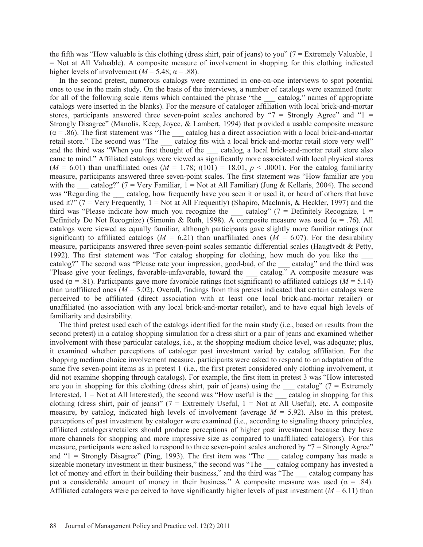the fifth was "How valuable is this clothing (dress shirt, pair of jeans) to you" ( $7 =$  Extremely Valuable, 1 = Not at All Valuable). A composite measure of involvement in shopping for this clothing indicated higher levels of involvement ( $M = 5.48$ ;  $\alpha = .88$ ).

 In the second pretest, numerous catalogs were examined in one-on-one interviews to spot potential ones to use in the main study. On the basis of the interviews, a number of catalogs were examined (note: for all of the following scale items which contained the phrase "the \_\_\_ catalog," names of appropriate catalogs were inserted in the blanks). For the measure of cataloger affiliation with local brick-and-mortar stores, participants answered three seven-point scales anchored by " $7 =$  Strongly Agree" and "1 = Strongly Disagree" (Manolis, Keep, Joyce, & Lambert, 1994) that provided a usable composite measure  $(\alpha = .86)$ . The first statement was "The \_\_\_ catalog has a direct association with a local brick-and-mortar retail store." The second was "The catalog fits with a local brick-and-mortar retail store very well" and the third was "When you first thought of the catalog, a local brick-and-mortar retail store also came to mind." Affiliated catalogs were viewed as significantly more associated with local physical stores  $(M = 6.01)$  than unaffiliated ones  $(M = 1.78; t(101) = 18.01, p < .0001)$ . For the catalog familiarity measure, participants answered three seven-point scales. The first statement was "How familiar are you with the catalog?" (7 = Very Familiar, 1 = Not at All Familiar) (Jung & Kellaris, 2004). The second was "Regarding the \_\_\_ catalog, how frequently have you seen it or used it, or heard of others that have used it?" (7 = Very Frequently*,* 1 = Not at All Frequently) (Shapiro, MacInnis, & Heckler, 1997) and the third was "Please indicate how much you recognize the catalog" ( $7 =$  Definitely Recognize,  $1 =$ Definitely Do Not Recognize) (Simonin & Ruth, 1998). A composite measure was used ( $\alpha$  = .76). All catalogs were viewed as equally familiar, although participants gave slightly more familiar ratings (not significant) to affiliated catalogs ( $M = 6.21$ ) than unaffiliated ones ( $M = 6.07$ ). For the desirability measure, participants answered three seven-point scales semantic differential scales (Haugtvedt & Petty, 1992). The first statement was "For catalog shopping for clothing, how much do you like the \_\_\_ catalog?" The second was "Please rate your impression, good-bad, of the catalog" and the third was "Please give your feelings, favorable-unfavorable, toward the state catalog." A composite measure was used ( $\alpha$  = .81). Participants gave more favorable ratings (not significant) to affiliated catalogs ( $M = 5.14$ ) than unaffiliated ones  $(M = 5.02)$ . Overall, findings from this pretest indicated that certain catalogs were perceived to be affiliated (direct association with at least one local brick-and-mortar retailer) or unaffiliated (no association with any local brick-and-mortar retailer), and to have equal high levels of familiarity and desirability.

 The third pretest used each of the catalogs identified for the main study (i.e., based on results from the second pretest) in a catalog shopping simulation for a dress shirt or a pair of jeans and examined whether involvement with these particular catalogs, i.e., at the shopping medium choice level, was adequate; plus, it examined whether perceptions of cataloger past investment varied by catalog affiliation. For the shopping medium choice involvement measure, participants were asked to respond to an adaptation of the same five seven-point items as in pretest 1 (i.e., the first pretest considered only clothing involvement, it did not examine shopping through catalogs). For example, the first item in pretest 3 was "How interested are you in shopping for this clothing (dress shirt, pair of jeans) using the  $\_\_\_$  catalog" (7 = Extremely Interested,  $1 = Not$  at All Interested), the second was "How useful is the catalog in shopping for this clothing (dress shirt, pair of jeans)" ( $7 =$  Extremely Useful,  $1 =$  Not at All Useful), etc. A composite measure, by catalog, indicated high levels of involvement (average  $M = 5.92$ ). Also in this pretest, perceptions of past investment by cataloger were examined (i.e., according to signaling theory principles, affiliated catalogers/retailers should produce perceptions of higher past investment because they have more channels for shopping and more impressive size as compared to unaffiliated catalogers). For this measure, participants were asked to respond to three seven-point scales anchored by "7 = Strongly Agree" and " $1 =$  Strongly Disagree" (Ping, 1993). The first item was "The catalog company has made a sizeable monetary investment in their business," the second was "The earthle catalog company has invested a lot of money and effort in their building their business," and the third was "The catalog company has put a considerable amount of money in their business." A composite measure was used ( $\alpha = .84$ ). Affiliated catalogers were perceived to have significantly higher levels of past investment  $(M = 6.11)$  than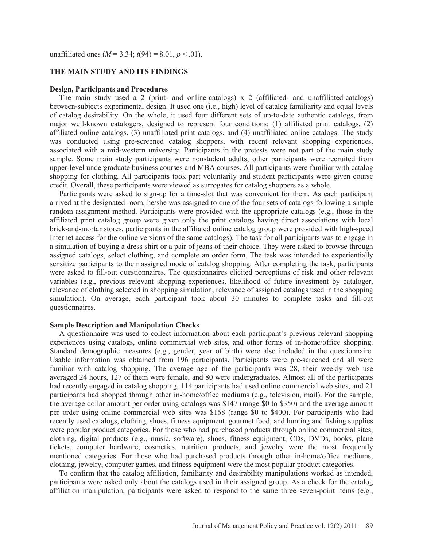unaffiliated ones  $(M = 3.34; t(94) = 8.01, p < .01)$ .

### **THE MAIN STUDY AND ITS FINDINGS**

#### **Design, Participants and Procedures**

 The main study used a 2 (print- and online-catalogs) x 2 (affiliated- and unaffiliated-catalogs) between-subjects experimental design. It used one (i.e., high) level of catalog familiarity and equal levels of catalog desirability. On the whole, it used four different sets of up-to-date authentic catalogs, from major well-known catalogers, designed to represent four conditions: (1) affiliated print catalogs, (2) affiliated online catalogs, (3) unaffiliated print catalogs, and (4) unaffiliated online catalogs. The study was conducted using pre-screened catalog shoppers, with recent relevant shopping experiences, associated with a mid-western university. Participants in the pretests were not part of the main study sample. Some main study participants were nonstudent adults; other participants were recruited from upper-level undergraduate business courses and MBA courses. All participants were familiar with catalog shopping for clothing. All participants took part voluntarily and student participants were given course credit. Overall, these participants were viewed as surrogates for catalog shoppers as a whole.

 Participants were asked to sign-up for a time-slot that was convenient for them. As each participant arrived at the designated room, he/she was assigned to one of the four sets of catalogs following a simple random assignment method. Participants were provided with the appropriate catalogs (e.g., those in the affiliated print catalog group were given only the print catalogs having direct associations with local brick-and-mortar stores, participants in the affiliated online catalog group were provided with high-speed Internet access for the online versions of the same catalogs). The task for all participants was to engage in a simulation of buying a dress shirt or a pair of jeans of their choice. They were asked to browse through assigned catalogs, select clothing, and complete an order form. The task was intended to experientially sensitize participants to their assigned mode of catalog shopping. After completing the task, participants were asked to fill-out questionnaires. The questionnaires elicited perceptions of risk and other relevant variables (e.g., previous relevant shopping experiences, likelihood of future investment by cataloger, relevance of clothing selected in shopping simulation, relevance of assigned catalogs used in the shopping simulation). On average, each participant took about 30 minutes to complete tasks and fill-out questionnaires.

#### **Sample Description and Manipulation Checks**

 A questionnaire was used to collect information about each participant's previous relevant shopping experiences using catalogs, online commercial web sites, and other forms of in-home/office shopping. Standard demographic measures (e.g., gender, year of birth) were also included in the questionnaire. Usable information was obtained from 196 participants. Participants were pre-screened and all were familiar with catalog shopping. The average age of the participants was 28, their weekly web use averaged 24 hours, 127 of them were female, and 80 were undergraduates. Almost all of the participants had recently engaged in catalog shopping, 114 participants had used online commercial web sites, and 21 participants had shopped through other in-home/office mediums (e.g., television, mail). For the sample, the average dollar amount per order using catalogs was \$147 (range \$0 to \$350) and the average amount per order using online commercial web sites was \$168 (range \$0 to \$400). For participants who had recently used catalogs, clothing, shoes, fitness equipment, gourmet food, and hunting and fishing supplies were popular product categories. For those who had purchased products through online commercial sites, clothing, digital products (e.g., music, software), shoes, fitness equipment, CDs, DVDs, books, plane tickets, computer hardware, cosmetics, nutrition products, and jewelry were the most frequently mentioned categories. For those who had purchased products through other in-home/office mediums, clothing, jewelry, computer games, and fitness equipment were the most popular product categories.

 To confirm that the catalog affiliation, familiarity and desirability manipulations worked as intended, participants were asked only about the catalogs used in their assigned group. As a check for the catalog affiliation manipulation, participants were asked to respond to the same three seven-point items (e.g.,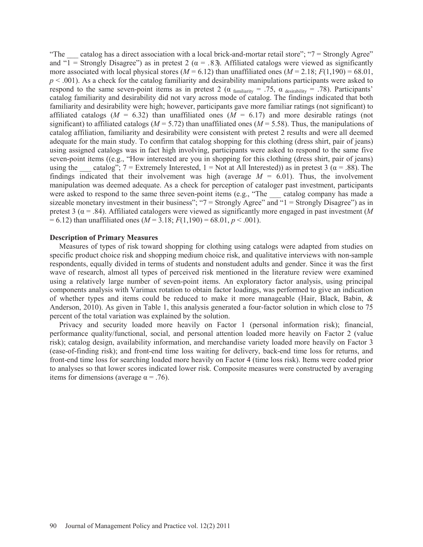"The catalog has a direct association with a local brick-and-mortar retail store"; " $7 =$  Strongly Agree" and "1 = Strongly Disagree") as in pretest 2 ( $\alpha$  = .83). Affiliated catalogs were viewed as significantly more associated with local physical stores ( $M = 6.12$ ) than unaffiliated ones ( $M = 2.18$ ;  $F(1,190) = 68.01$ , *p* < .001). As a check for the catalog familiarity and desirability manipulations participants were asked to respond to the same seven-point items as in pretest 2 ( $\alpha$  familiarity = .75,  $\alpha$  desirability = .78). Participants' catalog familiarity and desirability did not vary across mode of catalog. The findings indicated that both familiarity and desirability were high; however, participants gave more familiar ratings (not significant) to affiliated catalogs  $(M = 6.32)$  than unaffiliated ones  $(M = 6.17)$  and more desirable ratings (not significant) to affiliated catalogs ( $M = 5.72$ ) than unaffiliated ones ( $M = 5.58$ ). Thus, the manipulations of catalog affiliation, familiarity and desirability were consistent with pretest 2 results and were all deemed adequate for the main study. To confirm that catalog shopping for this clothing (dress shirt, pair of jeans) using assigned catalogs was in fact high involving, participants were asked to respond to the same five seven-point items ((e.g., "How interested are you in shopping for this clothing (dress shirt, pair of jeans) using the catalog"; 7 = Extremely Interested, 1 = Not at All Interested)) as in pretest 3 ( $\alpha$  = .88). The findings indicated that their involvement was high (average  $M = 6.01$ ). Thus, the involvement manipulation was deemed adequate. As a check for perception of cataloger past investment, participants were asked to respond to the same three seven-point items (e.g., "The catalog company has made a sizeable monetary investment in their business"; " $7 =$  Strongly Agree" and "1 = Strongly Disagree") as in pretest 3 ( $\alpha$  = .84). Affiliated catalogers were viewed as significantly more engaged in past investment (*M*  $= 6.12$ ) than unaffiliated ones ( $M = 3.18$ ;  $F(1,190) = 68.01$ ,  $p < .001$ ).

## **Description of Primary Measures**

 Measures of types of risk toward shopping for clothing using catalogs were adapted from studies on specific product choice risk and shopping medium choice risk, and qualitative interviews with non-sample respondents, equally divided in terms of students and nonstudent adults and gender. Since it was the first wave of research, almost all types of perceived risk mentioned in the literature review were examined using a relatively large number of seven-point items. An exploratory factor analysis, using principal components analysis with Varimax rotation to obtain factor loadings, was performed to give an indication of whether types and items could be reduced to make it more manageable (Hair, Black, Babin, & Anderson, 2010). As given in Table 1, this analysis generated a four-factor solution in which close to 75 percent of the total variation was explained by the solution.

 Privacy and security loaded more heavily on Factor 1 (personal information risk); financial, performance quality/functional, social, and personal attention loaded more heavily on Factor 2 (value risk); catalog design, availability information, and merchandise variety loaded more heavily on Factor 3 (ease-of-finding risk); and front-end time loss waiting for delivery, back-end time loss for returns, and front-end time loss for searching loaded more heavily on Factor 4 (time loss risk). Items were coded prior to analyses so that lower scores indicated lower risk. Composite measures were constructed by averaging items for dimensions (average  $\alpha = .76$ ).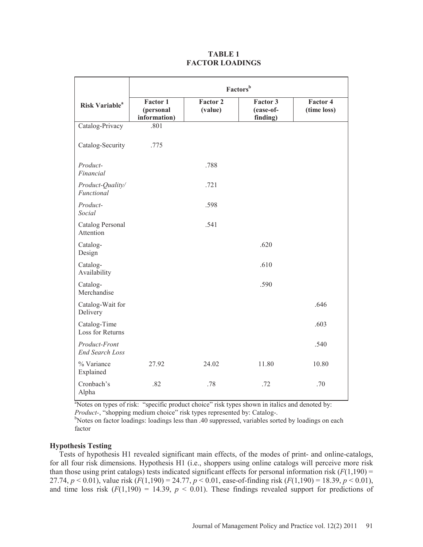## **TABLE 1 FACTOR LOADINGS**

|                                         | Factors <sup>b</sup>                  |                            |                                   |                         |
|-----------------------------------------|---------------------------------------|----------------------------|-----------------------------------|-------------------------|
| <b>Risk Variable</b> <sup>a</sup>       | Factor 1<br>(personal<br>information) | <b>Factor 2</b><br>(value) | Factor 3<br>(ease-of-<br>finding) | Factor 4<br>(time loss) |
| Catalog-Privacy                         | .801                                  |                            |                                   |                         |
| Catalog-Security                        | .775                                  |                            |                                   |                         |
| Product-<br>Financial                   |                                       | .788                       |                                   |                         |
| Product-Quality/<br>Functional          |                                       | .721                       |                                   |                         |
| Product-<br>Social                      |                                       | .598                       |                                   |                         |
| Catalog Personal<br>Attention           |                                       | .541                       |                                   |                         |
| Catalog-<br>Design                      |                                       |                            | .620                              |                         |
| Catalog-<br>Availability                |                                       |                            | .610                              |                         |
| Catalog-<br>Merchandise                 |                                       |                            | .590                              |                         |
| Catalog-Wait for<br>Delivery            |                                       |                            |                                   | .646                    |
| Catalog-Time<br>Loss for Returns        |                                       |                            |                                   | .603                    |
| Product-Front<br><b>End Search Loss</b> |                                       |                            |                                   | .540                    |
| % Variance<br>Explained                 | 27.92                                 | 24.02                      | 11.80                             | 10.80                   |
| Cronbach's<br>Alpha                     | .82                                   | .78                        | .72                               | .70                     |

<sup>a</sup>Notes on types of risk: "specific product choice" risk types shown in italics and denoted by: *Product-*, "shopping medium choice" risk types represented by: Catalog-.

<sup>b</sup>Notes on factor loadings: loadings less than .40 suppressed, variables sorted by loadings on each factor

## **Hypothesis Testing**

 Tests of hypothesis H1 revealed significant main effects, of the modes of print- and online-catalogs, for all four risk dimensions. Hypothesis H1 (i.e., shoppers using online catalogs will perceive more risk than those using print catalogs) tests indicated significant effects for personal information risk  $(F(1,190) =$ 27.74,  $p < 0.01$ ), value risk  $(F(1,190) = 24.77, p < 0.01$ , ease-of-finding risk  $(F(1,190) = 18.39, p < 0.01)$ , and time loss risk  $(F(1,190) = 14.39, p < 0.01)$ . These findings revealed support for predictions of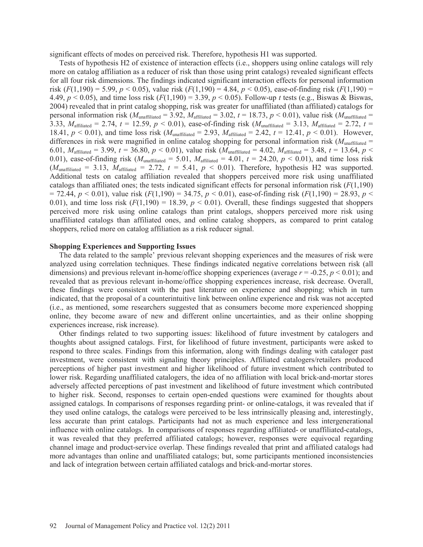significant effects of modes on perceived risk. Therefore, hypothesis H1 was supported.

 Tests of hypothesis H2 of existence of interaction effects (i.e., shoppers using online catalogs will rely more on catalog affiliation as a reducer of risk than those using print catalogs) revealed significant effects for all four risk dimensions. The findings indicated significant interaction effects for personal information risk  $(F(1,190) = 5.99, p < 0.05)$ , value risk  $(F(1,190) = 4.84, p < 0.05)$ , ease-of-finding risk  $(F(1,190) =$ 4.49, *p* < 0.05), and time loss risk (*F*(1,190) = 3.39, *p* < 0.05). Follow-up *t* tests (e.g., Biswas & Biswas, 2004) revealed that in print catalog shopping, risk was greater for unaffiliated (than affiliated) catalogs for personal information risk ( $M_{\text{unaffilated}} = 3.92$ ,  $M_{\text{affilated}} = 3.02$ ,  $t = 18.73$ ,  $p < 0.01$ ), value risk ( $M_{\text{unaffilated}} =$ 3.33, *M*<sub>affiliated</sub> = 2.74,  $t = 12.59$ ,  $p < 0.01$ ), ease-of-finding risk ( $M_{\text{unaffiliated}} = 3.13$ ,  $M_{\text{affiliated}} = 2.72$ ,  $t =$ 18.41,  $p < 0.01$ ), and time loss risk ( $M_{\text{unaffilated}} = 2.93$ ,  $M_{\text{affilated}} = 2.42$ ,  $t = 12.41$ ,  $p < 0.01$ ). However, differences in risk were magnified in online catalog shopping for personal information risk ( $M_{\text{unaffilated}}$  = 6.01,  $M_{\text{affiliated}} = 3.99$ ,  $t = 36.80$ ,  $p < 0.01$ ), value risk  $(M_{\text{unaffiliated}} = 4.02, M_{\text{affiliated}} = 3.48, t = 13.64, p <$ 0.01), ease-of-finding risk  $(M_{\text{unaffilated}} = 5.01, M_{\text{affilated}} = 4.01, t = 24.20, p < 0.01)$ , and time loss risk  $(M<sub>unaffiliated</sub> = 3.13, M<sub>affiliated</sub> = 2.72, t = 5.41, p < 0.01)$ . Therefore, hypothesis H2 was supported. Additional tests on catalog affiliation revealed that shoppers perceived more risk using unaffiliated catalogs than affiliated ones; the tests indicated significant effects for personal information risk  $(F(1,190))$  $= 72.44, p < 0.01$ , value risk ( $F(1,190) = 34.75, p < 0.01$ ), ease-of-finding risk ( $F(1,190) = 28.93, p <$ 0.01), and time loss risk  $(F(1,190) = 18.39, p < 0.01)$ . Overall, these findings suggested that shoppers perceived more risk using online catalogs than print catalogs, shoppers perceived more risk using unaffiliated catalogs than affiliated ones, and online catalog shoppers, as compared to print catalog shoppers, relied more on catalog affiliation as a risk reducer signal.

## **Shopping Experiences and Supporting Issues**

 The data related to the sample' previous relevant shopping experiences and the measures of risk were analyzed using correlation techniques. These findings indicated negative correlations between risk (all dimensions) and previous relevant in-home/office shopping experiences (average *r* = -0.25, *p* < 0.01); and revealed that as previous relevant in-home/office shopping experiences increase, risk decrease. Overall, these findings were consistent with the past literature on experience and shopping; which in turn indicated, that the proposal of a counterintuitive link between online experience and risk was not accepted (i.e., as mentioned, some researchers suggested that as consumers become more experienced shopping online, they become aware of new and different online uncertainties, and as their online shopping experiences increase, risk increase).

 Other findings related to two supporting issues: likelihood of future investment by catalogers and thoughts about assigned catalogs. First, for likelihood of future investment, participants were asked to respond to three scales. Findings from this information, along with findings dealing with cataloger past investment, were consistent with signaling theory principles. Affiliated catalogers/retailers produced perceptions of higher past investment and higher likelihood of future investment which contributed to lower risk. Regarding unaffiliated catalogers, the idea of no affiliation with local brick-and-mortar stores adversely affected perceptions of past investment and likelihood of future investment which contributed to higher risk. Second, responses to certain open-ended questions were examined for thoughts about assigned catalogs. In comparisons of responses regarding print- or online-catalogs, it was revealed that if they used online catalogs, the catalogs were perceived to be less intrinsically pleasing and, interestingly, less accurate than print catalogs. Participants had not as much experience and less intergenerational influence with online catalogs. In comparisons of responses regarding affiliated- or unaffiliated-catalogs, it was revealed that they preferred affiliated catalogs; however, responses were equivocal regarding channel image and product-service overlap. These findings revealed that print and affiliated catalogs had more advantages than online and unaffiliated catalogs; but, some participants mentioned inconsistencies and lack of integration between certain affiliated catalogs and brick-and-mortar stores.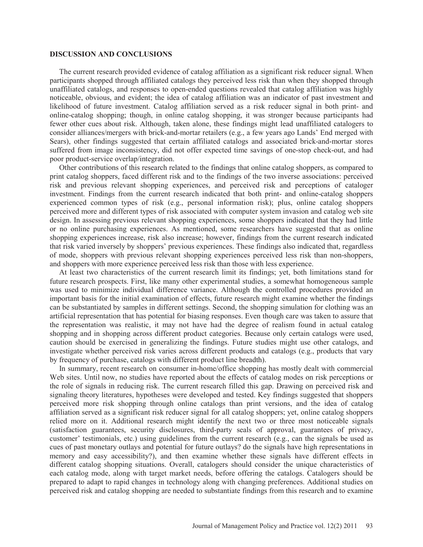#### **DISCUSSION AND CONCLUSIONS**

 The current research provided evidence of catalog affiliation as a significant risk reducer signal. When participants shopped through affiliated catalogs they perceived less risk than when they shopped through unaffiliated catalogs, and responses to open-ended questions revealed that catalog affiliation was highly noticeable, obvious, and evident; the idea of catalog affiliation was an indicator of past investment and likelihood of future investment. Catalog affiliation served as a risk reducer signal in both print- and online-catalog shopping; though, in online catalog shopping, it was stronger because participants had fewer other cues about risk. Although, taken alone, these findings might lead unaffiliated catalogers to consider alliances/mergers with brick-and-mortar retailers (e.g., a few years ago Lands' End merged with Sears), other findings suggested that certain affiliated catalogs and associated brick-and-mortar stores suffered from image inconsistency, did not offer expected time savings of one-stop check-out, and had poor product-service overlap/integration.

 Other contributions of this research related to the findings that online catalog shoppers, as compared to print catalog shoppers, faced different risk and to the findings of the two inverse associations: perceived risk and previous relevant shopping experiences, and perceived risk and perceptions of cataloger investment. Findings from the current research indicated that both print- and online-catalog shoppers experienced common types of risk (e.g., personal information risk); plus, online catalog shoppers perceived more and different types of risk associated with computer system invasion and catalog web site design. In assessing previous relevant shopping experiences, some shoppers indicated that they had little or no online purchasing experiences. As mentioned, some researchers have suggested that as online shopping experiences increase, risk also increase; however, findings from the current research indicated that risk varied inversely by shoppers' previous experiences. These findings also indicated that, regardless of mode, shoppers with previous relevant shopping experiences perceived less risk than non-shoppers, and shoppers with more experience perceived less risk than those with less experience.

 At least two characteristics of the current research limit its findings; yet, both limitations stand for future research prospects. First, like many other experimental studies, a somewhat homogeneous sample was used to minimize individual difference variance. Although the controlled procedures provided an important basis for the initial examination of effects, future research might examine whether the findings can be substantiated by samples in different settings. Second, the shopping simulation for clothing was an artificial representation that has potential for biasing responses. Even though care was taken to assure that the representation was realistic, it may not have had the degree of realism found in actual catalog shopping and in shopping across different product categories. Because only certain catalogs were used, caution should be exercised in generalizing the findings. Future studies might use other catalogs, and investigate whether perceived risk varies across different products and catalogs (e.g., products that vary by frequency of purchase, catalogs with different product line breadth).

 In summary, recent research on consumer in-home/office shopping has mostly dealt with commercial Web sites. Until now, no studies have reported about the effects of catalog modes on risk perceptions or the role of signals in reducing risk. The current research filled this gap. Drawing on perceived risk and signaling theory literatures, hypotheses were developed and tested. Key findings suggested that shoppers perceived more risk shopping through online catalogs than print versions, and the idea of catalog affiliation served as a significant risk reducer signal for all catalog shoppers; yet, online catalog shoppers relied more on it. Additional research might identify the next two or three most noticeable signals (satisfaction guarantees, security disclosures, third-party seals of approval, guarantees of privacy, customer' testimonials, etc.) using guidelines from the current research (e.g., can the signals be used as cues of past monetary outlays and potential for future outlays? do the signals have high representations in memory and easy accessibility?), and then examine whether these signals have different effects in different catalog shopping situations. Overall, catalogers should consider the unique characteristics of each catalog mode, along with target market needs, before offering the catalogs. Catalogers should be prepared to adapt to rapid changes in technology along with changing preferences. Additional studies on perceived risk and catalog shopping are needed to substantiate findings from this research and to examine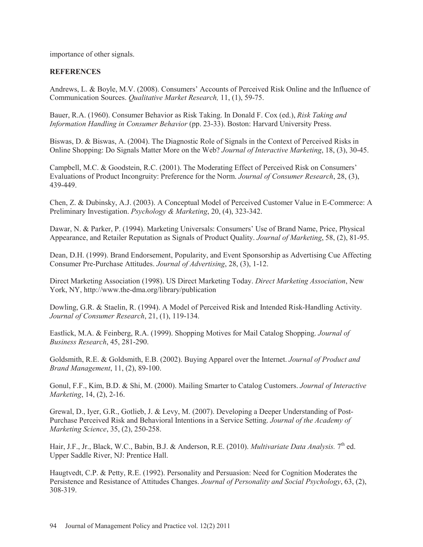importance of other signals.

# **REFERENCES**

Andrews, L. & Boyle, M.V. (2008). Consumers' Accounts of Perceived Risk Online and the Influence of Communication Sources. *Qualitative Market Research,* 11, (1), 59-75.

Bauer, R.A. (1960). Consumer Behavior as Risk Taking. In Donald F. Cox (ed.), *Risk Taking and Information Handling in Consumer Behavior* (pp. 23-33). Boston: Harvard University Press.

Biswas, D. & Biswas, A. (2004). The Diagnostic Role of Signals in the Context of Perceived Risks in Online Shopping: Do Signals Matter More on the Web? *Journal of Interactive Marketing*, 18, (3), 30-45.

Campbell, M.C. & Goodstein, R.C. (2001). The Moderating Effect of Perceived Risk on Consumers' Evaluations of Product Incongruity: Preference for the Norm. *Journal of Consumer Research*, 28, (3), 439-449.

Chen, Z. & Dubinsky, A.J. (2003). A Conceptual Model of Perceived Customer Value in E-Commerce: A Preliminary Investigation. *Psychology & Marketing*, 20, (4), 323-342.

Dawar, N. & Parker, P. (1994). Marketing Universals: Consumers' Use of Brand Name, Price, Physical Appearance, and Retailer Reputation as Signals of Product Quality. *Journal of Marketing*, 58, (2), 81-95.

Dean, D.H. (1999). Brand Endorsement, Popularity, and Event Sponsorship as Advertising Cue Affecting Consumer Pre-Purchase Attitudes. *Journal of Advertising*, 28, (3), 1-12.

Direct Marketing Association (1998). US Direct Marketing Today. *Direct Marketing Association*, New York, NY, http://www.the-dma.org/library/publication

Dowling, G.R. & Staelin, R. (1994). A Model of Perceived Risk and Intended Risk-Handling Activity. *Journal of Consumer Research*, 21, (1), 119-134.

Eastlick, M.A. & Feinberg, R.A. (1999). Shopping Motives for Mail Catalog Shopping. *Journal of Business Research*, 45, 281-290.

Goldsmith, R.E. & Goldsmith, E.B. (2002). Buying Apparel over the Internet. *Journal of Product and Brand Management*, 11, (2), 89-100.

Gonul, F.F., Kim, B.D. & Shi, M. (2000). Mailing Smarter to Catalog Customers. *Journal of Interactive Marketing*, 14, (2), 2-16.

Grewal, D., Iyer, G.R., Gotlieb, J. & Levy, M. (2007). Developing a Deeper Understanding of Post-Purchase Perceived Risk and Behavioral Intentions in a Service Setting. *Journal of the Academy of Marketing Science*, 35, (2), 250-258.

Hair, J.F., Jr., Black, W.C., Babin, B.J. & Anderson, R.E. (2010). *Multivariate Data Analysis*. 7<sup>th</sup> ed. Upper Saddle River, NJ: Prentice Hall.

Haugtvedt, C.P. & Petty, R.E. (1992). Personality and Persuasion: Need for Cognition Moderates the Persistence and Resistance of Attitudes Changes. *Journal of Personality and Social Psychology*, 63, (2), 308-319.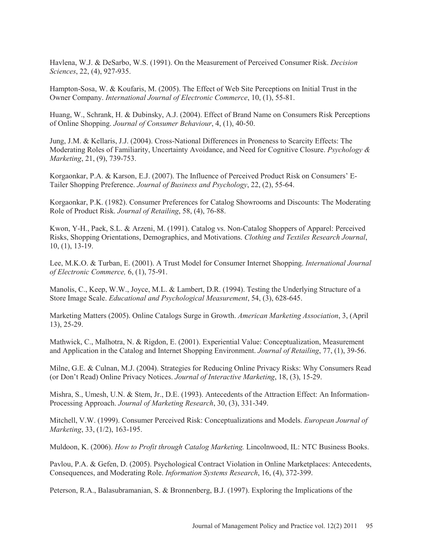Havlena, W.J. & DeSarbo, W.S. (1991). On the Measurement of Perceived Consumer Risk. *Decision Sciences*, 22, (4), 927-935.

Hampton-Sosa, W. & Koufaris, M. (2005). The Effect of Web Site Perceptions on Initial Trust in the Owner Company. *International Journal of Electronic Commerce*, 10, (1), 55-81.

Huang, W., Schrank, H. & Dubinsky, A.J. (2004). Effect of Brand Name on Consumers Risk Perceptions of Online Shopping. *Journal of Consumer Behaviour*, 4, (1), 40-50.

Jung, J.M. & Kellaris, J.J. (2004). Cross-National Differences in Proneness to Scarcity Effects: The Moderating Roles of Familiarity, Uncertainty Avoidance, and Need for Cognitive Closure. *Psychology & Marketing*, 21, (9), 739-753.

Korgaonkar, P.A. & Karson, E.J. (2007). The Influence of Perceived Product Risk on Consumers' E-Tailer Shopping Preference. *Journal of Business and Psychology*, 22, (2), 55-64.

Korgaonkar, P.K. (1982). Consumer Preferences for Catalog Showrooms and Discounts: The Moderating Role of Product Risk. *Journal of Retailing*, 58, (4), 76-88.

Kwon, Y-H., Paek, S.L. & Arzeni, M. (1991). Catalog vs. Non-Catalog Shoppers of Apparel: Perceived Risks, Shopping Orientations, Demographics, and Motivations. *Clothing and Textiles Research Journal*, 10, (1), 13-19.

Lee, M.K.O. & Turban, E. (2001). A Trust Model for Consumer Internet Shopping. *International Journal of Electronic Commerce,* 6, (1), 75-91.

Manolis, C., Keep, W.W., Joyce, M.L. & Lambert, D.R. (1994). Testing the Underlying Structure of a Store Image Scale. *Educational and Psychological Measurement*, 54, (3), 628-645.

Marketing Matters (2005). Online Catalogs Surge in Growth. *American Marketing Association*, 3, (April 13), 25-29.

Mathwick, C., Malhotra, N. & Rigdon, E. (2001). Experiential Value: Conceptualization, Measurement and Application in the Catalog and Internet Shopping Environment. *Journal of Retailing*, 77, (1), 39-56.

Milne, G.E. & Culnan, M.J. (2004). Strategies for Reducing Online Privacy Risks: Why Consumers Read (or Don't Read) Online Privacy Notices. *Journal of Interactive Marketing*, 18, (3), 15-29.

Mishra, S., Umesh, U.N. & Stem, Jr., D.E. (1993). Antecedents of the Attraction Effect: An Information-Processing Approach. *Journal of Marketing Research*, 30, (3), 331-349.

Mitchell, V.W. (1999). Consumer Perceived Risk: Conceptualizations and Models. *European Journal of Marketing*, 33, (1/2), 163-195.

Muldoon, K. (2006). *How to Profit through Catalog Marketing.* Lincolnwood, IL: NTC Business Books.

Pavlou, P.A. & Gefen, D. (2005). Psychological Contract Violation in Online Marketplaces: Antecedents, Consequences, and Moderating Role. *Information Systems Research*, 16, (4), 372-399.

Peterson, R.A., Balasubramanian, S. & Bronnenberg, B.J. (1997). Exploring the Implications of the